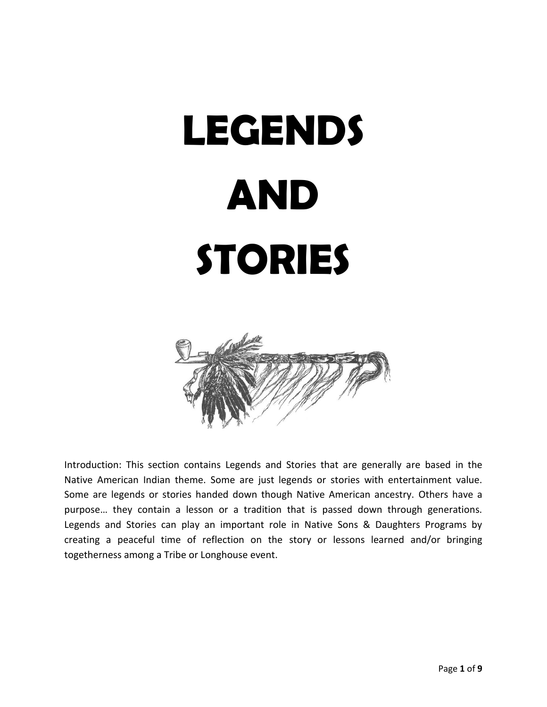# **LEGENDS AND STORIES**



Introduction: This section contains Legends and Stories that are generally are based in the Native American Indian theme. Some are just legends or stories with entertainment value. Some are legends or stories handed down though Native American ancestry. Others have a purpose… they contain a lesson or a tradition that is passed down through generations. Legends and Stories can play an important role in Native Sons & Daughters Programs by creating a peaceful time of reflection on the story or lessons learned and/or bringing togetherness among a Tribe or Longhouse event.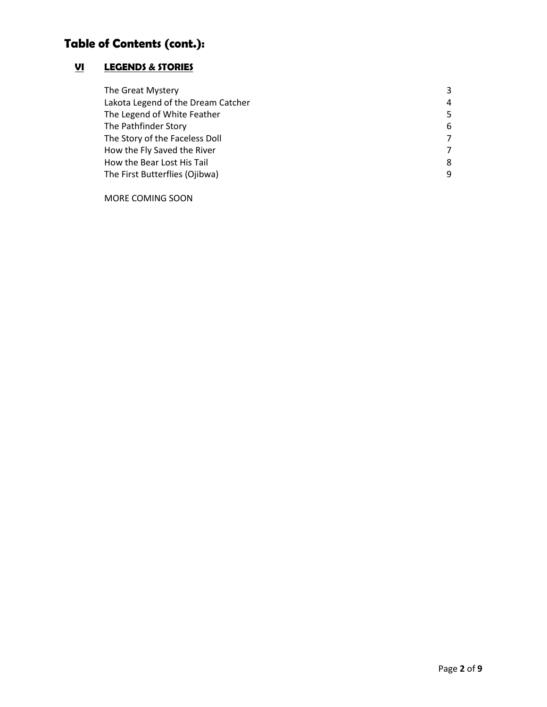### **Table of Contents (cont.):**

#### **VI LEGENDS & STORIES**

| The Great Mystery                  | 3 |
|------------------------------------|---|
| Lakota Legend of the Dream Catcher | 4 |
| The Legend of White Feather        | 5 |
| The Pathfinder Story               | 6 |
| The Story of the Faceless Doll     |   |
| How the Fly Saved the River        |   |
| How the Bear Lost His Tail         | 8 |
| The First Butterflies (Ojibwa)     | q |

MORE COMING SOON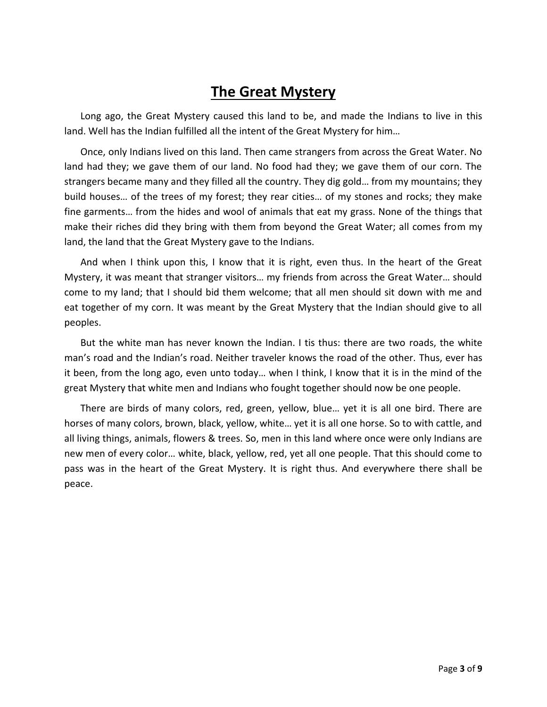#### **The Great Mystery**

Long ago, the Great Mystery caused this land to be, and made the Indians to live in this land. Well has the Indian fulfilled all the intent of the Great Mystery for him…

Once, only Indians lived on this land. Then came strangers from across the Great Water. No land had they; we gave them of our land. No food had they; we gave them of our corn. The strangers became many and they filled all the country. They dig gold… from my mountains; they build houses… of the trees of my forest; they rear cities… of my stones and rocks; they make fine garments… from the hides and wool of animals that eat my grass. None of the things that make their riches did they bring with them from beyond the Great Water; all comes from my land, the land that the Great Mystery gave to the Indians.

And when I think upon this, I know that it is right, even thus. In the heart of the Great Mystery, it was meant that stranger visitors… my friends from across the Great Water… should come to my land; that I should bid them welcome; that all men should sit down with me and eat together of my corn. It was meant by the Great Mystery that the Indian should give to all peoples.

But the white man has never known the Indian. I tis thus: there are two roads, the white man's road and the Indian's road. Neither traveler knows the road of the other. Thus, ever has it been, from the long ago, even unto today… when I think, I know that it is in the mind of the great Mystery that white men and Indians who fought together should now be one people.

There are birds of many colors, red, green, yellow, blue… yet it is all one bird. There are horses of many colors, brown, black, yellow, white… yet it is all one horse. So to with cattle, and all living things, animals, flowers & trees. So, men in this land where once were only Indians are new men of every color… white, black, yellow, red, yet all one people. That this should come to pass was in the heart of the Great Mystery. It is right thus. And everywhere there shall be peace.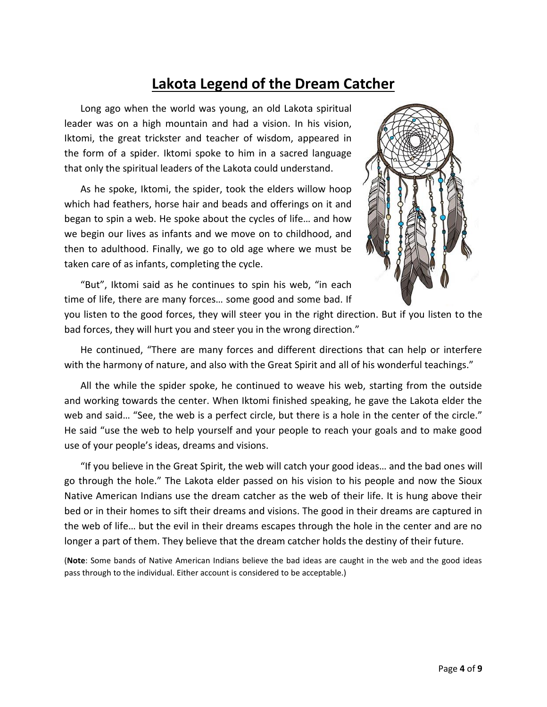### **Lakota Legend of the Dream Catcher**

Long ago when the world was young, an old Lakota spiritual leader was on a high mountain and had a vision. In his vision, Iktomi, the great trickster and teacher of wisdom, appeared in the form of a spider. Iktomi spoke to him in a sacred language that only the spiritual leaders of the Lakota could understand.

As he spoke, Iktomi, the spider, took the elders willow hoop which had feathers, horse hair and beads and offerings on it and began to spin a web. He spoke about the cycles of life… and how we begin our lives as infants and we move on to childhood, and then to adulthood. Finally, we go to old age where we must be taken care of as infants, completing the cycle.



"But", Iktomi said as he continues to spin his web, "in each time of life, there are many forces… some good and some bad. If

you listen to the good forces, they will steer you in the right direction. But if you listen to the bad forces, they will hurt you and steer you in the wrong direction."

He continued, "There are many forces and different directions that can help or interfere with the harmony of nature, and also with the Great Spirit and all of his wonderful teachings."

All the while the spider spoke, he continued to weave his web, starting from the outside and working towards the center. When Iktomi finished speaking, he gave the Lakota elder the web and said... "See, the web is a perfect circle, but there is a hole in the center of the circle." He said "use the web to help yourself and your people to reach your goals and to make good use of your people's ideas, dreams and visions.

"If you believe in the Great Spirit, the web will catch your good ideas… and the bad ones will go through the hole." The Lakota elder passed on his vision to his people and now the Sioux Native American Indians use the dream catcher as the web of their life. It is hung above their bed or in their homes to sift their dreams and visions. The good in their dreams are captured in the web of life… but the evil in their dreams escapes through the hole in the center and are no longer a part of them. They believe that the dream catcher holds the destiny of their future.

(**Note**: Some bands of Native American Indians believe the bad ideas are caught in the web and the good ideas pass through to the individual. Either account is considered to be acceptable.)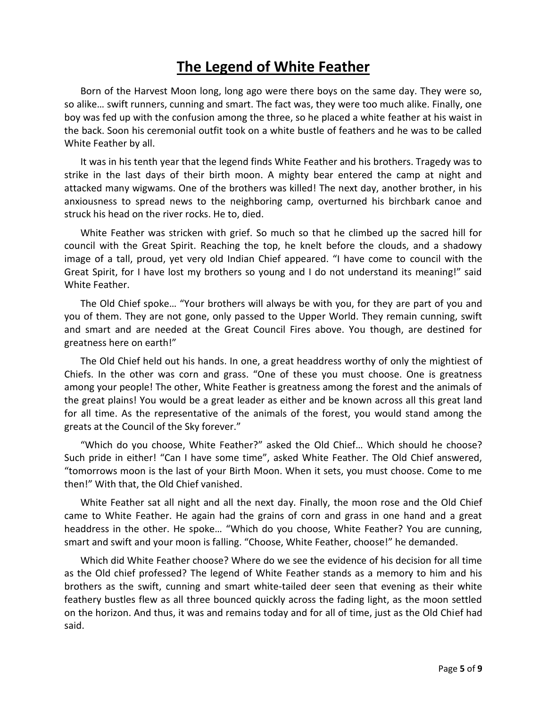# **The Legend of White Feather**

Born of the Harvest Moon long, long ago were there boys on the same day. They were so, so alike… swift runners, cunning and smart. The fact was, they were too much alike. Finally, one boy was fed up with the confusion among the three, so he placed a white feather at his waist in the back. Soon his ceremonial outfit took on a white bustle of feathers and he was to be called White Feather by all.

It was in his tenth year that the legend finds White Feather and his brothers. Tragedy was to strike in the last days of their birth moon. A mighty bear entered the camp at night and attacked many wigwams. One of the brothers was killed! The next day, another brother, in his anxiousness to spread news to the neighboring camp, overturned his birchbark canoe and struck his head on the river rocks. He to, died.

White Feather was stricken with grief. So much so that he climbed up the sacred hill for council with the Great Spirit. Reaching the top, he knelt before the clouds, and a shadowy image of a tall, proud, yet very old Indian Chief appeared. "I have come to council with the Great Spirit, for I have lost my brothers so young and I do not understand its meaning!" said White Feather.

The Old Chief spoke… "Your brothers will always be with you, for they are part of you and you of them. They are not gone, only passed to the Upper World. They remain cunning, swift and smart and are needed at the Great Council Fires above. You though, are destined for greatness here on earth!"

The Old Chief held out his hands. In one, a great headdress worthy of only the mightiest of Chiefs. In the other was corn and grass. "One of these you must choose. One is greatness among your people! The other, White Feather is greatness among the forest and the animals of the great plains! You would be a great leader as either and be known across all this great land for all time. As the representative of the animals of the forest, you would stand among the greats at the Council of the Sky forever."

"Which do you choose, White Feather?" asked the Old Chief… Which should he choose? Such pride in either! "Can I have some time", asked White Feather. The Old Chief answered, "tomorrows moon is the last of your Birth Moon. When it sets, you must choose. Come to me then!" With that, the Old Chief vanished.

White Feather sat all night and all the next day. Finally, the moon rose and the Old Chief came to White Feather. He again had the grains of corn and grass in one hand and a great headdress in the other. He spoke… "Which do you choose, White Feather? You are cunning, smart and swift and your moon is falling. "Choose, White Feather, choose!" he demanded.

Which did White Feather choose? Where do we see the evidence of his decision for all time as the Old chief professed? The legend of White Feather stands as a memory to him and his brothers as the swift, cunning and smart white-tailed deer seen that evening as their white feathery bustles flew as all three bounced quickly across the fading light, as the moon settled on the horizon. And thus, it was and remains today and for all of time, just as the Old Chief had said.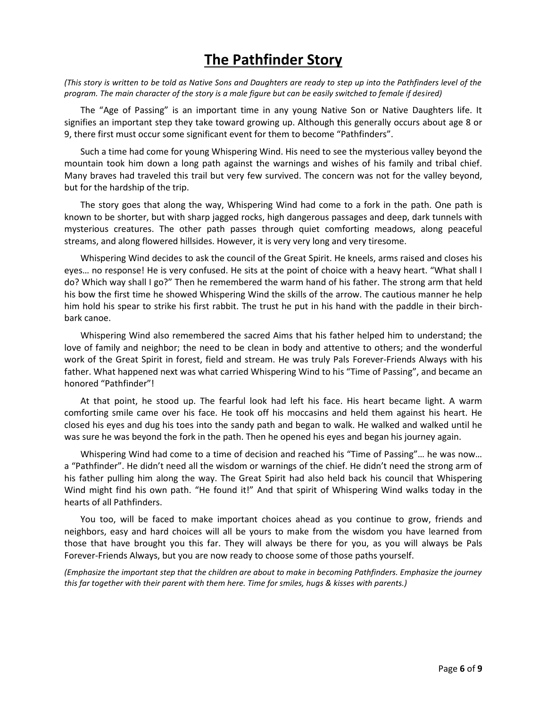# **The Pathfinder Story**

*(This story is written to be told as Native Sons and Daughters are ready to step up into the Pathfinders level of the program. The main character of the story is a male figure but can be easily switched to female if desired)*

The "Age of Passing" is an important time in any young Native Son or Native Daughters life. It signifies an important step they take toward growing up. Although this generally occurs about age 8 or 9, there first must occur some significant event for them to become "Pathfinders".

Such a time had come for young Whispering Wind. His need to see the mysterious valley beyond the mountain took him down a long path against the warnings and wishes of his family and tribal chief. Many braves had traveled this trail but very few survived. The concern was not for the valley beyond, but for the hardship of the trip.

The story goes that along the way, Whispering Wind had come to a fork in the path. One path is known to be shorter, but with sharp jagged rocks, high dangerous passages and deep, dark tunnels with mysterious creatures. The other path passes through quiet comforting meadows, along peaceful streams, and along flowered hillsides. However, it is very very long and very tiresome.

Whispering Wind decides to ask the council of the Great Spirit. He kneels, arms raised and closes his eyes… no response! He is very confused. He sits at the point of choice with a heavy heart. "What shall I do? Which way shall I go?" Then he remembered the warm hand of his father. The strong arm that held his bow the first time he showed Whispering Wind the skills of the arrow. The cautious manner he help him hold his spear to strike his first rabbit. The trust he put in his hand with the paddle in their birchbark canoe.

Whispering Wind also remembered the sacred Aims that his father helped him to understand; the love of family and neighbor; the need to be clean in body and attentive to others; and the wonderful work of the Great Spirit in forest, field and stream. He was truly Pals Forever-Friends Always with his father. What happened next was what carried Whispering Wind to his "Time of Passing", and became an honored "Pathfinder"!

At that point, he stood up. The fearful look had left his face. His heart became light. A warm comforting smile came over his face. He took off his moccasins and held them against his heart. He closed his eyes and dug his toes into the sandy path and began to walk. He walked and walked until he was sure he was beyond the fork in the path. Then he opened his eyes and began his journey again.

Whispering Wind had come to a time of decision and reached his "Time of Passing"… he was now… a "Pathfinder". He didn't need all the wisdom or warnings of the chief. He didn't need the strong arm of his father pulling him along the way. The Great Spirit had also held back his council that Whispering Wind might find his own path. "He found it!" And that spirit of Whispering Wind walks today in the hearts of all Pathfinders.

You too, will be faced to make important choices ahead as you continue to grow, friends and neighbors, easy and hard choices will all be yours to make from the wisdom you have learned from those that have brought you this far. They will always be there for you, as you will always be Pals Forever-Friends Always, but you are now ready to choose some of those paths yourself.

*(Emphasize the important step that the children are about to make in becoming Pathfinders. Emphasize the journey this far together with their parent with them here. Time for smiles, hugs & kisses with parents.)*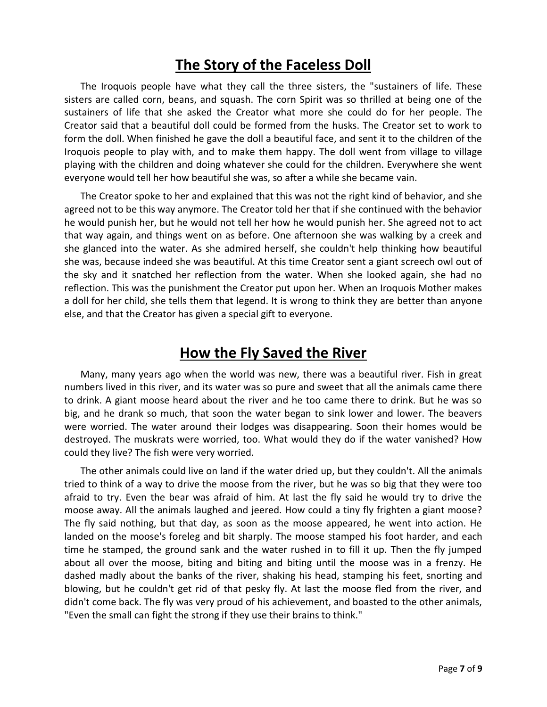### **The Story of the Faceless Doll**

The Iroquois people have what they call the three sisters, the "sustainers of life. These sisters are called corn, beans, and squash. The corn Spirit was so thrilled at being one of the sustainers of life that she asked the Creator what more she could do for her people. The Creator said that a beautiful doll could be formed from the husks. The Creator set to work to form the doll. When finished he gave the doll a beautiful face, and sent it to the children of the Iroquois people to play with, and to make them happy. The doll went from village to village playing with the children and doing whatever she could for the children. Everywhere she went everyone would tell her how beautiful she was, so after a while she became vain.

The Creator spoke to her and explained that this was not the right kind of behavior, and she agreed not to be this way anymore. The Creator told her that if she continued with the behavior he would punish her, but he would not tell her how he would punish her. She agreed not to act that way again, and things went on as before. One afternoon she was walking by a creek and she glanced into the water. As she admired herself, she couldn't help thinking how beautiful she was, because indeed she was beautiful. At this time Creator sent a giant screech owl out of the sky and it snatched her reflection from the water. When she looked again, she had no reflection. This was the punishment the Creator put upon her. When an Iroquois Mother makes a doll for her child, she tells them that legend. It is wrong to think they are better than anyone else, and that the Creator has given a special gift to everyone.

#### **How the Fly Saved the River**

Many, many years ago when the world was new, there was a beautiful river. Fish in great numbers lived in this river, and its water was so pure and sweet that all the animals came there to drink. A giant moose heard about the river and he too came there to drink. But he was so big, and he drank so much, that soon the water began to sink lower and lower. The beavers were worried. The water around their lodges was disappearing. Soon their homes would be destroyed. The muskrats were worried, too. What would they do if the water vanished? How could they live? The fish were very worried.

The other animals could live on land if the water dried up, but they couldn't. All the animals tried to think of a way to drive the moose from the river, but he was so big that they were too afraid to try. Even the bear was afraid of him. At last the fly said he would try to drive the moose away. All the animals laughed and jeered. How could a tiny fly frighten a giant moose? The fly said nothing, but that day, as soon as the moose appeared, he went into action. He landed on the moose's foreleg and bit sharply. The moose stamped his foot harder, and each time he stamped, the ground sank and the water rushed in to fill it up. Then the fly jumped about all over the moose, biting and biting and biting until the moose was in a frenzy. He dashed madly about the banks of the river, shaking his head, stamping his feet, snorting and blowing, but he couldn't get rid of that pesky fly. At last the moose fled from the river, and didn't come back. The fly was very proud of his achievement, and boasted to the other animals, "Even the small can fight the strong if they use their brains to think."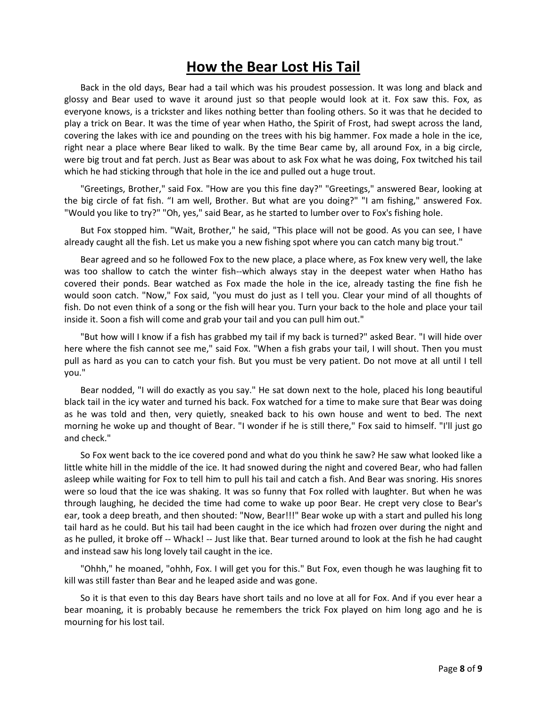#### **How the Bear Lost His Tail**

Back in the old days, Bear had a tail which was his proudest possession. It was long and black and glossy and Bear used to wave it around just so that people would look at it. Fox saw this. Fox, as everyone knows, is a trickster and likes nothing better than fooling others. So it was that he decided to play a trick on Bear. It was the time of year when Hatho, the Spirit of Frost, had swept across the land, covering the lakes with ice and pounding on the trees with his big hammer. Fox made a hole in the ice, right near a place where Bear liked to walk. By the time Bear came by, all around Fox, in a big circle, were big trout and fat perch. Just as Bear was about to ask Fox what he was doing, Fox twitched his tail which he had sticking through that hole in the ice and pulled out a huge trout.

"Greetings, Brother," said Fox. "How are you this fine day?" "Greetings," answered Bear, looking at the big circle of fat fish. "I am well, Brother. But what are you doing?" "I am fishing," answered Fox. "Would you like to try?" "Oh, yes," said Bear, as he started to lumber over to Fox's fishing hole.

But Fox stopped him. "Wait, Brother," he said, "This place will not be good. As you can see, I have already caught all the fish. Let us make you a new fishing spot where you can catch many big trout."

Bear agreed and so he followed Fox to the new place, a place where, as Fox knew very well, the lake was too shallow to catch the winter fish--which always stay in the deepest water when Hatho has covered their ponds. Bear watched as Fox made the hole in the ice, already tasting the fine fish he would soon catch. "Now," Fox said, "you must do just as I tell you. Clear your mind of all thoughts of fish. Do not even think of a song or the fish will hear you. Turn your back to the hole and place your tail inside it. Soon a fish will come and grab your tail and you can pull him out."

"But how will I know if a fish has grabbed my tail if my back is turned?" asked Bear. "I will hide over here where the fish cannot see me," said Fox. "When a fish grabs your tail, I will shout. Then you must pull as hard as you can to catch your fish. But you must be very patient. Do not move at all until I tell you."

Bear nodded, "I will do exactly as you say." He sat down next to the hole, placed his long beautiful black tail in the icy water and turned his back. Fox watched for a time to make sure that Bear was doing as he was told and then, very quietly, sneaked back to his own house and went to bed. The next morning he woke up and thought of Bear. "I wonder if he is still there," Fox said to himself. "I'll just go and check."

So Fox went back to the ice covered pond and what do you think he saw? He saw what looked like a little white hill in the middle of the ice. It had snowed during the night and covered Bear, who had fallen asleep while waiting for Fox to tell him to pull his tail and catch a fish. And Bear was snoring. His snores were so loud that the ice was shaking. It was so funny that Fox rolled with laughter. But when he was through laughing, he decided the time had come to wake up poor Bear. He crept very close to Bear's ear, took a deep breath, and then shouted: "Now, Bear!!!" Bear woke up with a start and pulled his long tail hard as he could. But his tail had been caught in the ice which had frozen over during the night and as he pulled, it broke off -- Whack! -- Just like that. Bear turned around to look at the fish he had caught and instead saw his long lovely tail caught in the ice.

"Ohhh," he moaned, "ohhh, Fox. I will get you for this." But Fox, even though he was laughing fit to kill was still faster than Bear and he leaped aside and was gone.

So it is that even to this day Bears have short tails and no love at all for Fox. And if you ever hear a bear moaning, it is probably because he remembers the trick Fox played on him long ago and he is mourning for his lost tail.